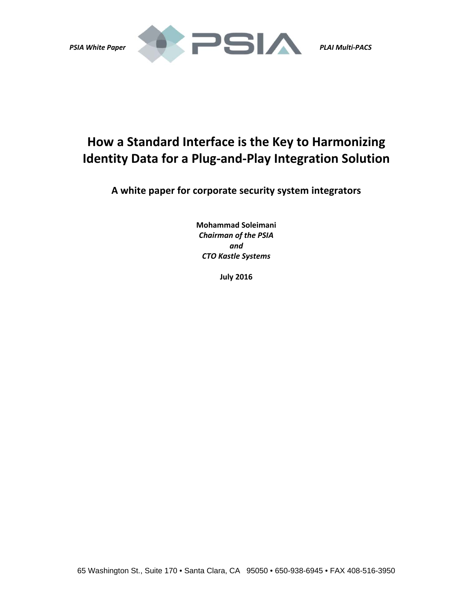

# **How a Standard Interface is the Key to Harmonizing Identity Data for a Plug‐and‐Play Integration Solution**

**A white paper for corporate security system integrators**

**Mohammad Soleimani** *Chairman of the PSIA and CTO Kastle Systems*

**July 2016**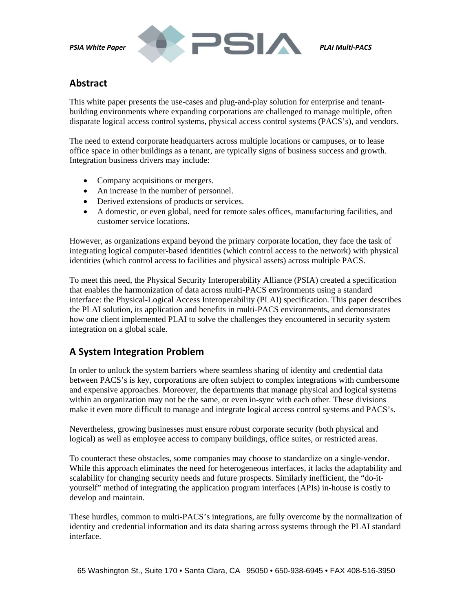

### **Abstract**

This white paper presents the use-cases and plug-and-play solution for enterprise and tenantbuilding environments where expanding corporations are challenged to manage multiple, often disparate logical access control systems, physical access control systems (PACS's), and vendors.

The need to extend corporate headquarters across multiple locations or campuses, or to lease office space in other buildings as a tenant, are typically signs of business success and growth. Integration business drivers may include:

- Company acquisitions or mergers.
- An increase in the number of personnel.
- Derived extensions of products or services.
- A domestic, or even global, need for remote sales offices, manufacturing facilities, and customer service locations.

However, as organizations expand beyond the primary corporate location, they face the task of integrating logical computer-based identities (which control access to the network) with physical identities (which control access to facilities and physical assets) across multiple PACS.

To meet this need, the Physical Security Interoperability Alliance (PSIA) created a specification that enables the harmonization of data across multi-PACS environments using a standard interface: the Physical-Logical Access Interoperability (PLAI) specification. This paper describes the PLAI solution, its application and benefits in multi-PACS environments, and demonstrates how one client implemented PLAI to solve the challenges they encountered in security system integration on a global scale.

# **A System Integration Problem**

In order to unlock the system barriers where seamless sharing of identity and credential data between PACS's is key, corporations are often subject to complex integrations with cumbersome and expensive approaches. Moreover, the departments that manage physical and logical systems within an organization may not be the same, or even in-sync with each other. These divisions make it even more difficult to manage and integrate logical access control systems and PACS's.

Nevertheless, growing businesses must ensure robust corporate security (both physical and logical) as well as employee access to company buildings, office suites, or restricted areas.

To counteract these obstacles, some companies may choose to standardize on a single-vendor. While this approach eliminates the need for heterogeneous interfaces, it lacks the adaptability and scalability for changing security needs and future prospects. Similarly inefficient, the "do-ityourself" method of integrating the application program interfaces (APIs) in-house is costly to develop and maintain.

These hurdles, common to multi-PACS's integrations, are fully overcome by the normalization of identity and credential information and its data sharing across systems through the PLAI standard interface.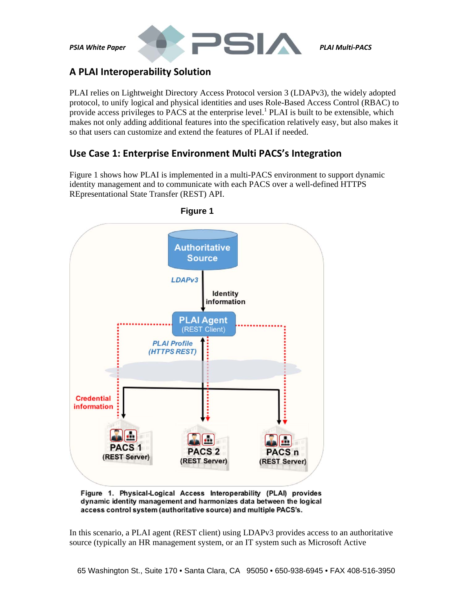

# **A PLAI Interoperability Solution**

PLAI relies on Lightweight Directory Access Protocol version 3 (LDAPv3), the widely adopted protocol, to unify logical and physical identities and uses Role-Based Access Control (RBAC) to provide access privileges to PACS at the enterprise level.<sup>1</sup> PLAI is built to be extensible, which makes not only adding additional features into the specification relatively easy, but also makes it so that users can customize and extend the features of PLAI if needed.

# **Use Case 1: Enterprise Environment Multi PACS's Integration**

Figure 1 shows how PLAI is implemented in a multi-PACS environment to support dynamic identity management and to communicate with each PACS over a well-defined HTTPS REpresentational State Transfer (REST) API.



#### **Figure 1**

Figure 1. Physical-Logical Access Interoperability (PLAI) provides dynamic identity management and harmonizes data between the logical access control system (authoritative source) and multiple PACS's.

In this scenario, a PLAI agent (REST client) using LDAPv3 provides access to an authoritative source (typically an HR management system, or an IT system such as Microsoft Active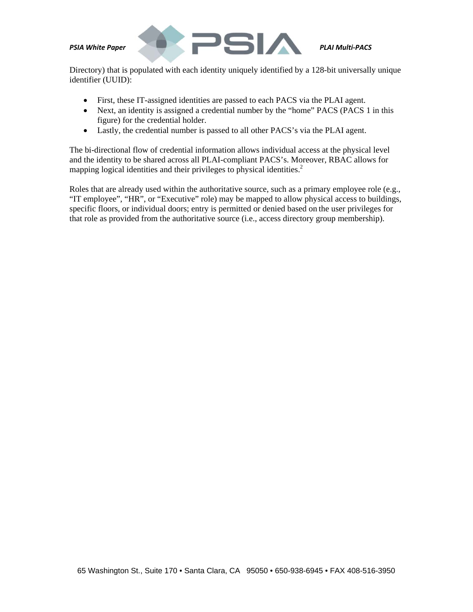

Directory) that is populated with each identity uniquely identified by a 128-bit universally unique identifier (UUID):

- First, these IT-assigned identities are passed to each PACS via the PLAI agent.
- Next, an identity is assigned a credential number by the "home" PACS (PACS 1 in this figure) for the credential holder.
- Lastly, the credential number is passed to all other PACS's via the PLAI agent.

The bi-directional flow of credential information allows individual access at the physical level and the identity to be shared across all PLAI-compliant PACS's. Moreover, RBAC allows for mapping logical identities and their privileges to physical identities. $2$ 

Roles that are already used within the authoritative source, such as a primary employee role (e.g., "IT employee", "HR", or "Executive" role) may be mapped to allow physical access to buildings, specific floors, or individual doors; entry is permitted or denied based on the user privileges for that role as provided from the authoritative source (i.e., access directory group membership).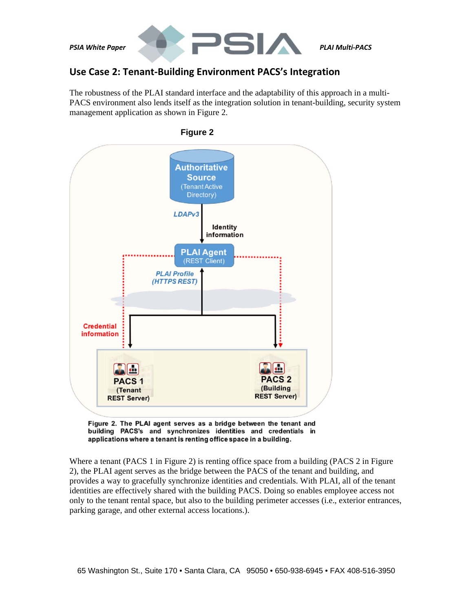

# **Use Case 2: Tenant‐Building Environment PACS's Integration**

The robustness of the PLAI standard interface and the adaptability of this approach in a multi-PACS environment also lends itself as the integration solution in tenant-building, security system management application as shown in Figure 2.



 **Figure 2** 

Figure 2. The PLAI agent serves as a bridge between the tenant and building PACS's and synchronizes identities and credentials in applications where a tenant is renting office space in a building.

Where a tenant (PACS 1 in Figure 2) is renting office space from a building (PACS 2 in Figure 2), the PLAI agent serves as the bridge between the PACS of the tenant and building, and provides a way to gracefully synchronize identities and credentials. With PLAI, all of the tenant identities are effectively shared with the building PACS. Doing so enables employee access not only to the tenant rental space, but also to the building perimeter accesses (i.e., exterior entrances, parking garage, and other external access locations.).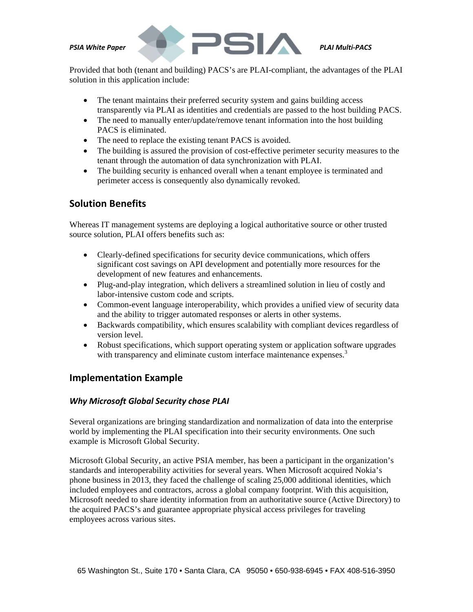

Provided that both (tenant and building) PACS's are PLAI-compliant, the advantages of the PLAI solution in this application include:

- The tenant maintains their preferred security system and gains building access transparently via PLAI as identities and credentials are passed to the host building PACS.
- The need to manually enter/update/remove tenant information into the host building PACS is eliminated.
- The need to replace the existing tenant PACS is avoided.
- The building is assured the provision of cost-effective perimeter security measures to the tenant through the automation of data synchronization with PLAI.
- The building security is enhanced overall when a tenant employee is terminated and perimeter access is consequently also dynamically revoked.

#### **Solution Benefits**

Whereas IT management systems are deploying a logical authoritative source or other trusted source solution, PLAI offers benefits such as:

- Clearly-defined specifications for security device communications, which offers significant cost savings on API development and potentially more resources for the development of new features and enhancements.
- Plug-and-play integration, which delivers a streamlined solution in lieu of costly and labor-intensive custom code and scripts.
- Common-event language interoperability, which provides a unified view of security data and the ability to trigger automated responses or alerts in other systems.
- Backwards compatibility, which ensures scalability with compliant devices regardless of version level.
- Robust specifications, which support operating system or application software upgrades with transparency and eliminate custom interface maintenance expenses.<sup>3</sup>

#### **Implementation Example**

#### *Why Microsoft Global Security chose PLAI*

Several organizations are bringing standardization and normalization of data into the enterprise world by implementing the PLAI specification into their security environments. One such example is Microsoft Global Security.

Microsoft Global Security, an active PSIA member, has been a participant in the organization's standards and interoperability activities for several years. When Microsoft acquired Nokia's phone business in 2013, they faced the challenge of scaling 25,000 additional identities, which included employees and contractors, across a global company footprint. With this acquisition, Microsoft needed to share identity information from an authoritative source (Active Directory) to the acquired PACS's and guarantee appropriate physical access privileges for traveling employees across various sites.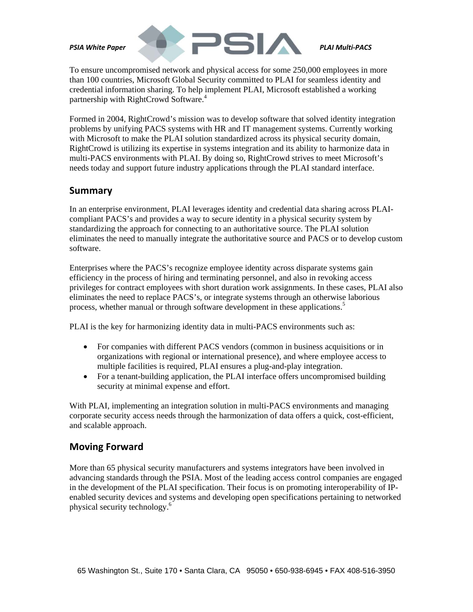

To ensure uncompromised network and physical access for some 250,000 employees in more than 100 countries, Microsoft Global Security committed to PLAI for seamless identity and credential information sharing. To help implement PLAI, Microsoft established a working partnership with RightCrowd Software.<sup>4</sup>

Formed in 2004, RightCrowd's mission was to develop software that solved identity integration problems by unifying PACS systems with HR and IT management systems. Currently working with Microsoft to make the PLAI solution standardized across its physical security domain, RightCrowd is utilizing its expertise in systems integration and its ability to harmonize data in multi-PACS environments with PLAI. By doing so, RightCrowd strives to meet Microsoft's needs today and support future industry applications through the PLAI standard interface.

#### **Summary**

In an enterprise environment, PLAI leverages identity and credential data sharing across PLAIcompliant PACS's and provides a way to secure identity in a physical security system by standardizing the approach for connecting to an authoritative source. The PLAI solution eliminates the need to manually integrate the authoritative source and PACS or to develop custom software.

Enterprises where the PACS's recognize employee identity across disparate systems gain efficiency in the process of hiring and terminating personnel, and also in revoking access privileges for contract employees with short duration work assignments. In these cases, PLAI also eliminates the need to replace PACS's, or integrate systems through an otherwise laborious process, whether manual or through software development in these applications.<sup>5</sup>

PLAI is the key for harmonizing identity data in multi-PACS environments such as:

- For companies with different PACS vendors (common in business acquisitions or in organizations with regional or international presence), and where employee access to multiple facilities is required, PLAI ensures a plug-and-play integration.
- For a tenant-building application, the PLAI interface offers uncompromised building security at minimal expense and effort.

With PLAI, implementing an integration solution in multi-PACS environments and managing corporate security access needs through the harmonization of data offers a quick, cost-efficient, and scalable approach.

### **Moving Forward**

More than 65 physical security manufacturers and systems integrators have been involved in advancing standards through the PSIA. Most of the leading access control companies are engaged in the development of the PLAI specification. Their focus is on promoting interoperability of IPenabled security devices and systems and developing open specifications pertaining to networked physical security technology.<sup>6</sup>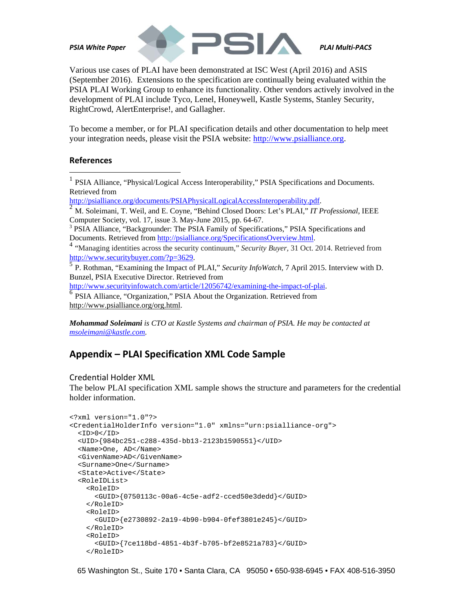

Various use cases of PLAI have been demonstrated at ISC West (April 2016) and ASIS (September 2016). Extensions to the specification are continually being evaluated within the PSIA PLAI Working Group to enhance its functionality. Other vendors actively involved in the development of PLAI include Tyco, Lenel, Honeywell, Kastle Systems, Stanley Security, RightCrowd, AlertEnterprise!, and Gallagher.

To become a member, or for PLAI specification details and other documentation to help meet your integration needs, please visit the PSIA website: http://www.psialliance.org.

#### **References**

 $\overline{a}$ 

<sup>1</sup> PSIA Alliance, "Physical/Logical Access Interoperability," PSIA Specifications and Documents.

Retrieved from<br>http://psialliance.org/documents/PSIAPhysicalLogicalAccessInteroperability.pdf.

http://psial.org/documents/Political Accessions/Poetical Accessions. Poetical Accessions. Accessional, IEEE M. Soleimani, T. Weil, and E. Coyne, "Behind Closed Doors: Let's PLAI," *IT Professional*, IEEE Computer Society, vol. 17, issue 3. May-June 2015, pp. 64-67.

<sup>3</sup> PSIA Alliance, "Backgrounder: The PSIA Family of Specifications," PSIA Specifications and

Documents. Retrieved from <u>http://psialliance.org/SpecificationsOverview.html</u>.<br><sup>4</sup> "Managing identities across the security continuum," *Security Buyer*, 31 Oct. 2014. Retrieved from http://www.securitybuyer.com/?p=3629.

P. Rothman, "Examining the Impact of PLAI," *Security InfoWatch*, 7 April 2015. Interview with D. Bunzel, PSIA Executive Director. Retrieved from

http://www.securityinfowatch.com/article/12056742/examining-the-impact-of-plai.<br><sup>6</sup> PSIA Alliance, "Organization," PSIA About the Organization. Retrieved from

http://www.psialliance.org/org.html.

*Mohammad Soleimani is CTO at Kastle Systems and chairman of PSIA. He may be contacted at msoleimani@kastle.com.* 

# **Appendix – PLAI Specification XML Code Sample**

Credential Holder XML

The below PLAI specification XML sample shows the structure and parameters for the credential holder information.

```
<?xml version="1.0"?> 
<CredentialHolderInfo version="1.0" xmlns="urn:psialliance-org"> 
  <ID>0</sub><(ID) <UID>{984bc251-c288-435d-bb13-2123b1590551}</UID> 
   <Name>One, AD</Name> 
   <GivenName>AD</GivenName> 
   <Surname>One</Surname> 
   <State>Active</State> 
   <RoleIDList> 
     <RoleID> 
       <GUID>{0750113c-00a6-4c5e-adf2-cced50e3dedd}</GUID> 
     </RoleID> 
     <RoleID> 
       <GUID>{e2730892-2a19-4b90-b904-0fef3801e245}</GUID> 
     </RoleID> 
     <RoleID> 
       <GUID>{7ce118bd-4851-4b3f-b705-bf2e8521a783}</GUID> 
     </RoleID>
```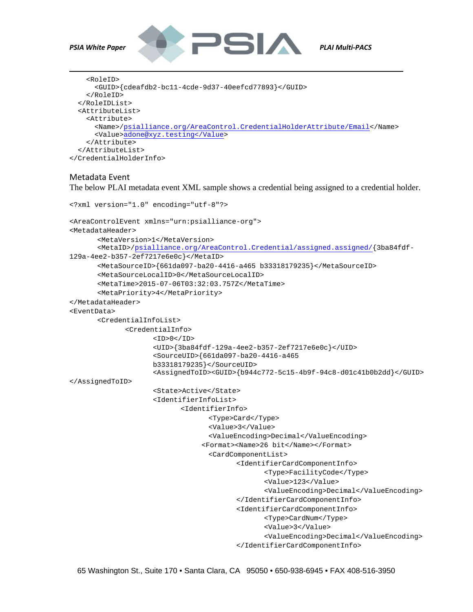

 $\overline{a}$ 



```
<RoleID> 
       <GUID>{cdeafdb2-bc11-4cde-9d37-40eefcd77893}</GUID> 
     </RoleID> 
   </RoleIDList> 
   <AttributeList> 
     <Attribute> 
       <Name>/psialliance.org/AreaControl.CredentialHolderAttribute/Email</Name> 
       <Value>adone@xyz.testing</Value> 
     </Attribute> 
   </AttributeList> 
</CredentialHolderInfo>
```
#### Metadata Event

The below PLAI metadata event XML sample shows a credential being assigned to a credential holder.

```
<?xml version="1.0" encoding="utf-8"?> 
<AreaControlEvent xmlns="urn:psialliance-org">

<MetadataHeader> 
       <MetaVersion>1</MetaVersion> 
       <MetaID>/psialliance.org/AreaControl.Credential/assigned.assigned/{3ba84fdf-
129a-4ee2-b357-2ef7217e6e0c}</MetaID> 
       <MetaSourceID>{661da097-ba20-4416-a465 b33318179235}</MetaSourceID> 
       <MetaSourceLocalID>0</MetaSourceLocalID> 
       <MetaTime>2015-07-06T03:32:03.757Z</MetaTime> 
       <MetaPriority>4</MetaPriority>

</MetadataHeader>

<EventData> 
       <CredentialInfoList> 
              <CredentialInfo> 
                     <ID>0</ID> 
                     <UID>{3ba84fdf-129a-4ee2-b357-2ef7217e6e0c}</UID> 
                     <SourceUID>{661da097-ba20-4416-a465 
                     b33318179235}</SourceUID> 
                     <AssignedToID><GUID>{b944c772-5c15-4b9f-94c8-d01c41b0b2dd}</GUID> 
</AssignedToID> 
                     <State>Active</State> 
                     <IdentifierInfoList> 
                            <IdentifierInfo> 
                                   <Type>Card</Type> 
                                   <Value>3</Value> 
                                   <ValueEncoding>Decimal</ValueEncoding> 
                                  <Format><Name>26 bit</Name></Format> 
                                   <CardComponentList> 
                                          <IdentifierCardComponentInfo> 
                                                 <Type>FacilityCode</Type> 
                                                 <Value>123</Value> 
                                                 <ValueEncoding>Decimal</ValueEncoding> 
                                          </IdentifierCardComponentInfo> 
                                          <IdentifierCardComponentInfo> 
                                                 <Type>CardNum</Type> 
                                                 <Value>3</Value> 
                                                 <ValueEncoding>Decimal</ValueEncoding> 
                                          </IdentifierCardComponentInfo>
```